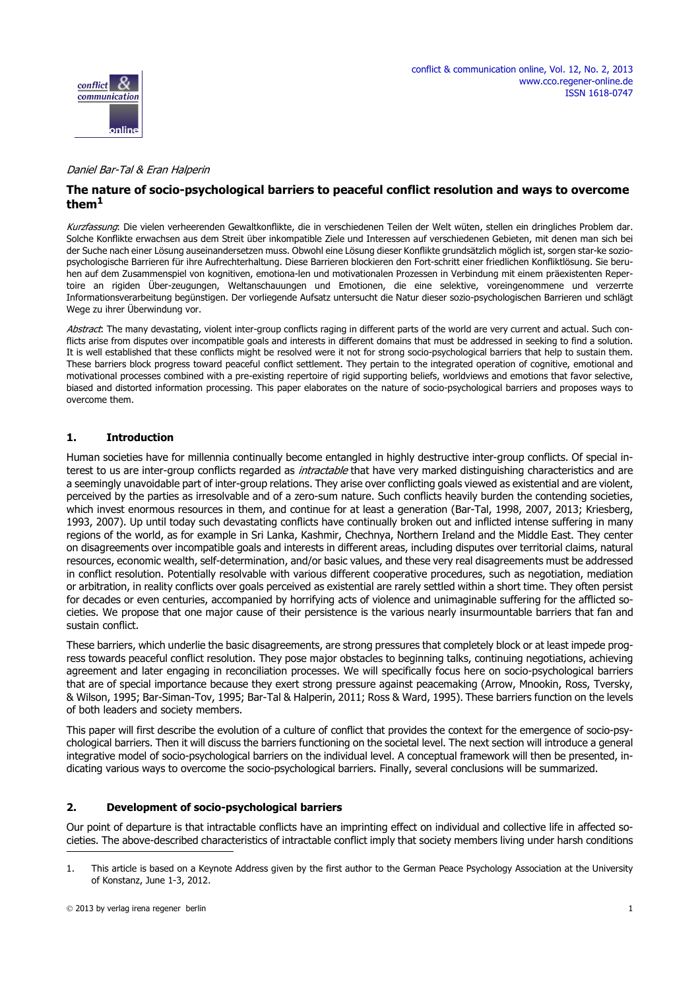

#### Daniel Bar-Tal & Eran Halperin

# **The nature of socio-psychological barriers to peaceful conflict resolution and ways to overcome them1**

Kurzfassung: Die vielen verheerenden Gewaltkonflikte, die in verschiedenen Teilen der Welt wüten, stellen ein dringliches Problem dar. Solche Konflikte erwachsen aus dem Streit über inkompatible Ziele und Interessen auf verschiedenen Gebieten, mit denen man sich bei der Suche nach einer Lösung auseinandersetzen muss. Obwohl eine Lösung dieser Konflikte grundsätzlich möglich ist, sorgen star-ke soziopsychologische Barrieren für ihre Aufrechterhaltung. Diese Barrieren blockieren den Fort-schritt einer friedlichen Konfliktlösung. Sie beruhen auf dem Zusammenspiel von kognitiven, emotiona-len und motivationalen Prozessen in Verbindung mit einem präexistenten Repertoire an rigiden Über-zeugungen, Weltanschauungen und Emotionen, die eine selektive, voreingenommene und verzerrte Informationsverarbeitung begünstigen. Der vorliegende Aufsatz untersucht die Natur dieser sozio-psychologischen Barrieren und schlägt Wege zu ihrer Überwindung vor.

Abstract: The many devastating, violent inter-group conflicts raging in different parts of the world are very current and actual. Such conflicts arise from disputes over incompatible goals and interests in different domains that must be addressed in seeking to find a solution. It is well established that these conflicts might be resolved were it not for strong socio-psychological barriers that help to sustain them. These barriers block progress toward peaceful conflict settlement. They pertain to the integrated operation of cognitive, emotional and motivational processes combined with a pre-existing repertoire of rigid supporting beliefs, worldviews and emotions that favor selective, biased and distorted information processing. This paper elaborates on the nature of socio-psychological barriers and proposes ways to overcome them.

### **1. Introduction**

Human societies have for millennia continually become entangled in highly destructive inter-group conflicts. Of special interest to us are inter-group conflicts regarded as *intractable* that have very marked distinguishing characteristics and are a seemingly unavoidable part of inter-group relations. They arise over conflicting goals viewed as existential and are violent, perceived by the parties as irresolvable and of a zero-sum nature. Such conflicts heavily burden the contending societies, which invest enormous resources in them, and continue for at least a generation (Bar-Tal, 1998, 2007, 2013; Kriesberg, 1993, 2007). Up until today such devastating conflicts have continually broken out and inflicted intense suffering in many regions of the world, as for example in Sri Lanka, Kashmir, Chechnya, Northern Ireland and the Middle East. They center on disagreements over incompatible goals and interests in different areas, including disputes over territorial claims, natural resources, economic wealth, self-determination, and/or basic values, and these very real disagreements must be addressed in conflict resolution. Potentially resolvable with various different cooperative procedures, such as negotiation, mediation or arbitration, in reality conflicts over goals perceived as existential are rarely settled within a short time. They often persist for decades or even centuries, accompanied by horrifying acts of violence and unimaginable suffering for the afflicted societies. We propose that one major cause of their persistence is the various nearly insurmountable barriers that fan and sustain conflict.

These barriers, which underlie the basic disagreements, are strong pressures that completely block or at least impede progress towards peaceful conflict resolution. They pose major obstacles to beginning talks, continuing negotiations, achieving agreement and later engaging in reconciliation processes. We will specifically focus here on socio-psychological barriers that are of special importance because they exert strong pressure against peacemaking (Arrow, Mnookin, Ross, Tversky, & Wilson, 1995; Bar-Siman-Tov, 1995; Bar-Tal & Halperin, 2011; Ross & Ward, 1995). These barriers function on the levels of both leaders and society members.

This paper will first describe the evolution of a culture of conflict that provides the context for the emergence of socio-psychological barriers. Then it will discuss the barriers functioning on the societal level. The next section will introduce a general integrative model of socio-psychological barriers on the individual level. A conceptual framework will then be presented, indicating various ways to overcome the socio-psychological barriers. Finally, several conclusions will be summarized.

### **2. Development of socio-psychological barriers**

Our point of departure is that intractable conflicts have an imprinting effect on individual and collective life in affected societies. The above-described characteristics of intractable conflict imply that society members living under harsh conditions

<sup>1.</sup> This article is based on a Keynote Address given by the first author to the German Peace Psychology Association at the University of Konstanz, June 1-3, 2012.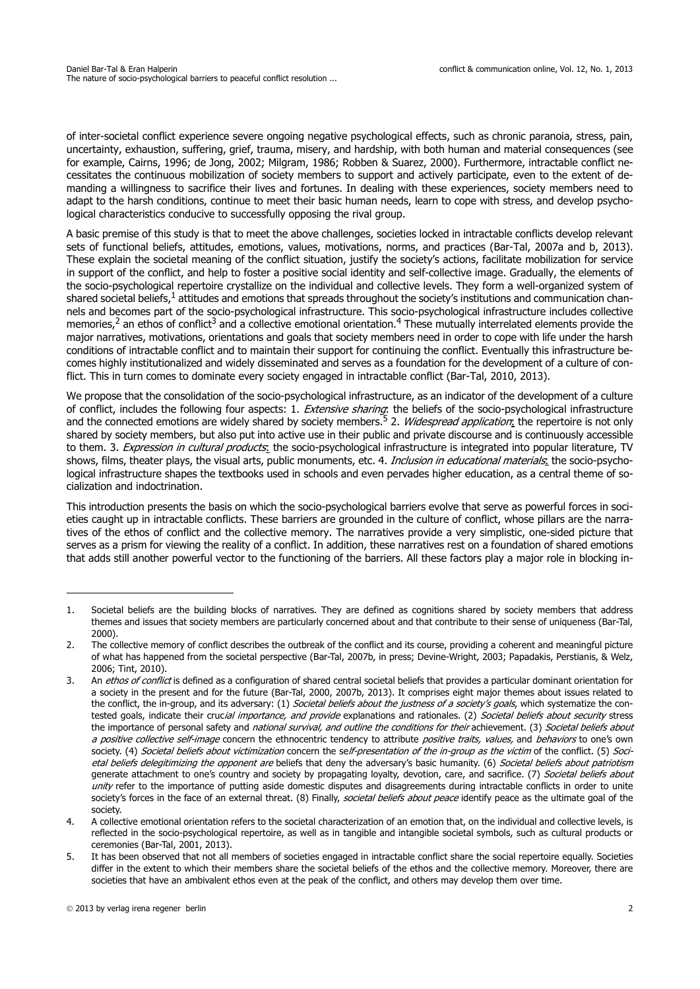of inter-societal conflict experience severe ongoing negative psychological effects, such as chronic paranoia, stress, pain, uncertainty, exhaustion, suffering, grief, trauma, misery, and hardship, with both human and material consequences (see for example, Cairns, 1996; de Jong, 2002; Milgram, 1986; Robben & Suarez, 2000). Furthermore, intractable conflict necessitates the continuous mobilization of society members to support and actively participate, even to the extent of demanding a willingness to sacrifice their lives and fortunes. In dealing with these experiences, society members need to adapt to the harsh conditions, continue to meet their basic human needs, learn to cope with stress, and develop psychological characteristics conducive to successfully opposing the rival group.

A basic premise of this study is that to meet the above challenges, societies locked in intractable conflicts develop relevant sets of functional beliefs, attitudes, emotions, values, motivations, norms, and practices (Bar-Tal, 2007a and b, 2013). These explain the societal meaning of the conflict situation, justify the society's actions, facilitate mobilization for service in support of the conflict, and help to foster a positive social identity and self-collective image. Gradually, the elements of the socio-psychological repertoire crystallize on the individual and collective levels. They form a well-organized system of shared societal beliefs,<sup>1</sup> attitudes and emotions that spreads throughout the society's institutions and communication channels and becomes part of the socio-psychological infrastructure. This socio-psychological infrastructure includes collective memories, $^2$  an ethos of conflict<sup>3</sup> and a collective emotional orientation.<sup>4</sup> These mutually interrelated elements provide the major narratives, motivations, orientations and goals that society members need in order to cope with life under the harsh conditions of intractable conflict and to maintain their support for continuing the conflict. Eventually this infrastructure becomes highly institutionalized and widely disseminated and serves as a foundation for the development of a culture of conflict. This in turn comes to dominate every society engaged in intractable conflict (Bar-Tal, 2010, 2013).

We propose that the consolidation of the socio-psychological infrastructure, as an indicator of the development of a culture of conflict, includes the following four aspects: 1. Extensive sharing: the beliefs of the socio-psychological infrastructure and the connected emotions are widely shared by society members.<sup>5</sup> 2. *Widespread application*: the repertoire is not only shared by society members, but also put into active use in their public and private discourse and is continuously accessible to them. 3. Expression in cultural products: the socio-psychological infrastructure is integrated into popular literature, TV shows, films, theater plays, the visual arts, public monuments, etc. 4. Inclusion in educational materials, the socio-psychological infrastructure shapes the textbooks used in schools and even pervades higher education, as a central theme of socialization and indoctrination.

This introduction presents the basis on which the socio-psychological barriers evolve that serve as powerful forces in societies caught up in intractable conflicts. These barriers are grounded in the culture of conflict, whose pillars are the narratives of the ethos of conflict and the collective memory. The narratives provide a very simplistic, one-sided picture that serves as a prism for viewing the reality of a conflict. In addition, these narratives rest on a foundation of shared emotions that adds still another powerful vector to the functioning of the barriers. All these factors play a major role in blocking in-

<sup>1.</sup> Societal beliefs are the building blocks of narratives. They are defined as cognitions shared by society members that address themes and issues that society members are particularly concerned about and that contribute to their sense of uniqueness (Bar-Tal, 2000).

<sup>2.</sup> The collective memory of conflict describes the outbreak of the conflict and its course, providing a coherent and meaningful picture of what has happened from the societal perspective (Bar-Tal, 2007b, in press; Devine-Wright, 2003; Papadakis, Perstianis, & Welz, 2006; Tint, 2010).

<sup>3.</sup> An ethos of conflict is defined as a configuration of shared central societal beliefs that provides a particular dominant orientation for a society in the present and for the future (Bar-Tal, 2000, 2007b, 2013). It comprises eight major themes about issues related to the conflict, the in-group, and its adversary: (1) Societal beliefs about the justness of a society's goals, which systematize the contested goals, indicate their crucial importance, and provide explanations and rationales. (2) Societal beliefs about security stress the importance of personal safety and *national survival, and outline the conditions for their* achievement. (3) Societal beliefs about a positive collective self-image concern the ethnocentric tendency to attribute positive traits, values, and behaviors to one's own society. (4) Societal beliefs about victimization concern the self-presentation of the in-group as the victim of the conflict. (5) Societal beliefs delegitimizing the opponent are beliefs that deny the adversary's basic humanity. (6) Societal beliefs about patriotism generate attachment to one's country and society by propagating loyalty, devotion, care, and sacrifice. (7) Societal beliefs about unity refer to the importance of putting aside domestic disputes and disagreements during intractable conflicts in order to unite society's forces in the face of an external threat. (8) Finally, societal beliefs about peace identify peace as the ultimate goal of the society.

<sup>4.</sup> A collective emotional orientation refers to the societal characterization of an emotion that, on the individual and collective levels, is reflected in the socio-psychological repertoire, as well as in tangible and intangible societal symbols, such as cultural products or ceremonies (Bar-Tal, 2001, 2013).

<sup>5.</sup> It has been observed that not all members of societies engaged in intractable conflict share the social repertoire equally. Societies differ in the extent to which their members share the societal beliefs of the ethos and the collective memory. Moreover, there are societies that have an ambivalent ethos even at the peak of the conflict, and others may develop them over time.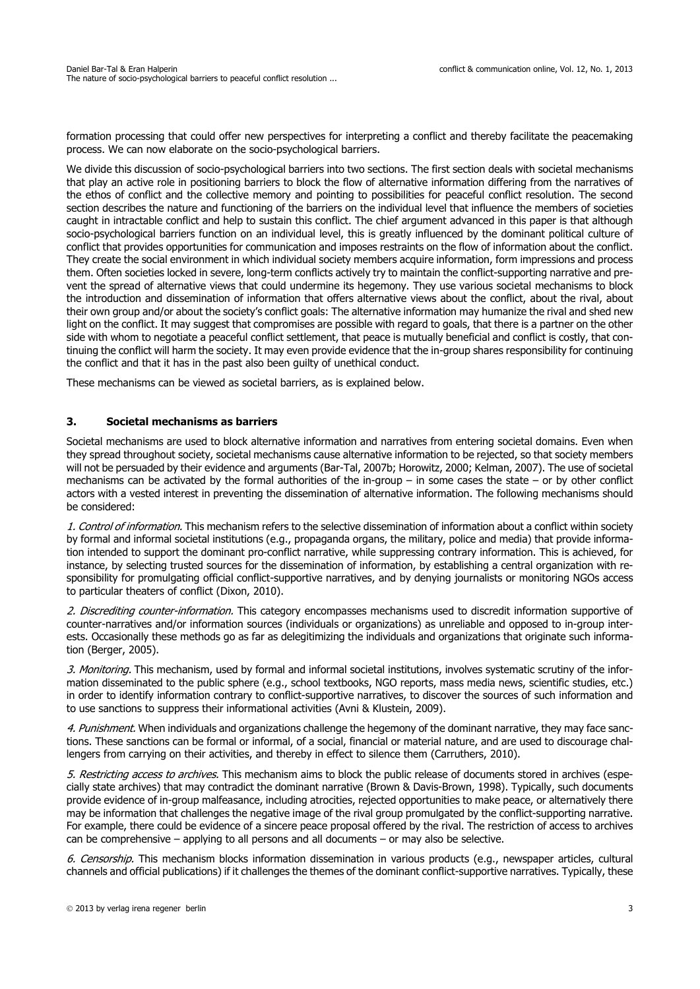formation processing that could offer new perspectives for interpreting a conflict and thereby facilitate the peacemaking process. We can now elaborate on the socio-psychological barriers.

We divide this discussion of socio-psychological barriers into two sections. The first section deals with societal mechanisms that play an active role in positioning barriers to block the flow of alternative information differing from the narratives of the ethos of conflict and the collective memory and pointing to possibilities for peaceful conflict resolution. The second section describes the nature and functioning of the barriers on the individual level that influence the members of societies caught in intractable conflict and help to sustain this conflict. The chief argument advanced in this paper is that although socio-psychological barriers function on an individual level, this is greatly influenced by the dominant political culture of conflict that provides opportunities for communication and imposes restraints on the flow of information about the conflict. They create the social environment in which individual society members acquire information, form impressions and process them. Often societies locked in severe, long-term conflicts actively try to maintain the conflict-supporting narrative and prevent the spread of alternative views that could undermine its hegemony. They use various societal mechanisms to block the introduction and dissemination of information that offers alternative views about the conflict, about the rival, about their own group and/or about the society's conflict goals: The alternative information may humanize the rival and shed new light on the conflict. It may suggest that compromises are possible with regard to goals, that there is a partner on the other side with whom to negotiate a peaceful conflict settlement, that peace is mutually beneficial and conflict is costly, that continuing the conflict will harm the society. It may even provide evidence that the in-group shares responsibility for continuing the conflict and that it has in the past also been guilty of unethical conduct.

These mechanisms can be viewed as societal barriers, as is explained below.

### **3. Societal mechanisms as barriers**

Societal mechanisms are used to block alternative information and narratives from entering societal domains. Even when they spread throughout society, societal mechanisms cause alternative information to be rejected, so that society members will not be persuaded by their evidence and arguments (Bar-Tal, 2007b; Horowitz, 2000; Kelman, 2007). The use of societal mechanisms can be activated by the formal authorities of the in-group – in some cases the state – or by other conflict actors with a vested interest in preventing the dissemination of alternative information. The following mechanisms should be considered:

1. Control of information. This mechanism refers to the selective dissemination of information about a conflict within society by formal and informal societal institutions (e.g., propaganda organs, the military, police and media) that provide information intended to support the dominant pro-conflict narrative, while suppressing contrary information. This is achieved, for instance, by selecting trusted sources for the dissemination of information, by establishing a central organization with responsibility for promulgating official conflict-supportive narratives, and by denying journalists or monitoring NGOs access to particular theaters of conflict (Dixon, 2010).

2. Discrediting counter-information. This category encompasses mechanisms used to discredit information supportive of counter-narratives and/or information sources (individuals or organizations) as unreliable and opposed to in-group interests. Occasionally these methods go as far as delegitimizing the individuals and organizations that originate such information (Berger, 2005).

3. Monitoring. This mechanism, used by formal and informal societal institutions, involves systematic scrutiny of the information disseminated to the public sphere (e.g., school textbooks, NGO reports, mass media news, scientific studies, etc.) in order to identify information contrary to conflict-supportive narratives, to discover the sources of such information and to use sanctions to suppress their informational activities (Avni & Klustein, 2009).

4. Punishment. When individuals and organizations challenge the hegemony of the dominant narrative, they may face sanctions. These sanctions can be formal or informal, of a social, financial or material nature, and are used to discourage challengers from carrying on their activities, and thereby in effect to silence them (Carruthers, 2010).

5. Restricting access to archives. This mechanism aims to block the public release of documents stored in archives (especially state archives) that may contradict the dominant narrative (Brown & Davis-Brown, 1998). Typically, such documents provide evidence of in-group malfeasance, including atrocities, rejected opportunities to make peace, or alternatively there may be information that challenges the negative image of the rival group promulgated by the conflict-supporting narrative. For example, there could be evidence of a sincere peace proposal offered by the rival. The restriction of access to archives can be comprehensive – applying to all persons and all documents – or may also be selective.

6. Censorship. This mechanism blocks information dissemination in various products (e.q., newspaper articles, cultural channels and official publications) if it challenges the themes of the dominant conflict-supportive narratives. Typically, these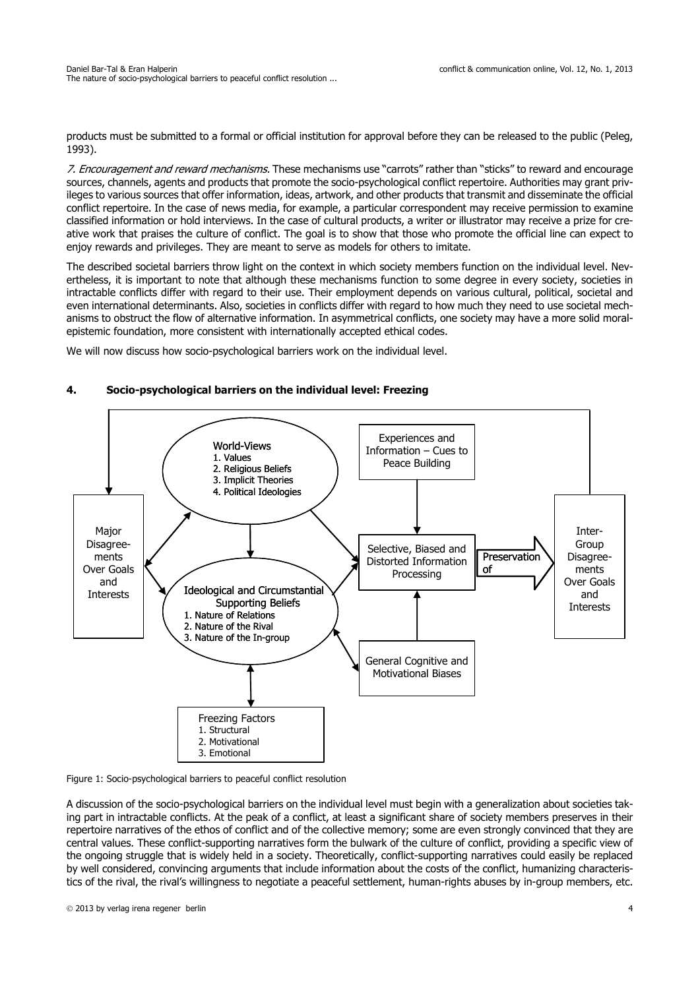products must be submitted to a formal or official institution for approval before they can be released to the public (Peleg, 1993).

7. Encouragement and reward mechanisms. These mechanisms use "carrots" rather than "sticks" to reward and encourage sources, channels, agents and products that promote the socio-psychological conflict repertoire. Authorities may grant privileges to various sources that offer information, ideas, artwork, and other products that transmit and disseminate the official conflict repertoire. In the case of news media, for example, a particular correspondent may receive permission to examine classified information or hold interviews. In the case of cultural products, a writer or illustrator may receive a prize for creative work that praises the culture of conflict. The goal is to show that those who promote the official line can expect to enjoy rewards and privileges. They are meant to serve as models for others to imitate.

The described societal barriers throw light on the context in which society members function on the individual level. Nevertheless, it is important to note that although these mechanisms function to some degree in every society, societies in intractable conflicts differ with regard to their use. Their employment depends on various cultural, political, societal and even international determinants. Also, societies in conflicts differ with regard to how much they need to use societal mechanisms to obstruct the flow of alternative information. In asymmetrical conflicts, one society may have a more solid moralepistemic foundation, more consistent with internationally accepted ethical codes.

We will now discuss how socio-psychological barriers work on the individual level.

#### Experiences and Information – Cues to Peace Building Selective, Biased and Distorted Information Processing General Cognitive and Motivational Biases Freezing Factors 1. Structural 2. Motivational 3. Emotional Major Disagreements Over Goals and Interests Inter-Group Disagreements Over Goals and **Interests** World-Views 1. Values 2. Religious Beliefs 3. Implicit Theories 4. Political Ideologies Ideological and Circumstantial Supporting Beliefs 1. Nature of Relations 2. Nature of the Rival 3. Nature of the In-group Preservation of

# **4. Socio-psychological barriers on the individual level: Freezing**

Figure 1: Socio-psychological barriers to peaceful conflict resolution

A discussion of the socio-psychological barriers on the individual level must begin with a generalization about societies taking part in intractable conflicts. At the peak of a conflict, at least a significant share of society members preserves in their repertoire narratives of the ethos of conflict and of the collective memory; some are even strongly convinced that they are central values. These conflict-supporting narratives form the bulwark of the culture of conflict, providing a specific view of the ongoing struggle that is widely held in a society. Theoretically, conflict-supporting narratives could easily be replaced by well considered, convincing arguments that include information about the costs of the conflict, humanizing characteristics of the rival, the rival's willingness to negotiate a peaceful settlement, human-rights abuses by in-group members, etc.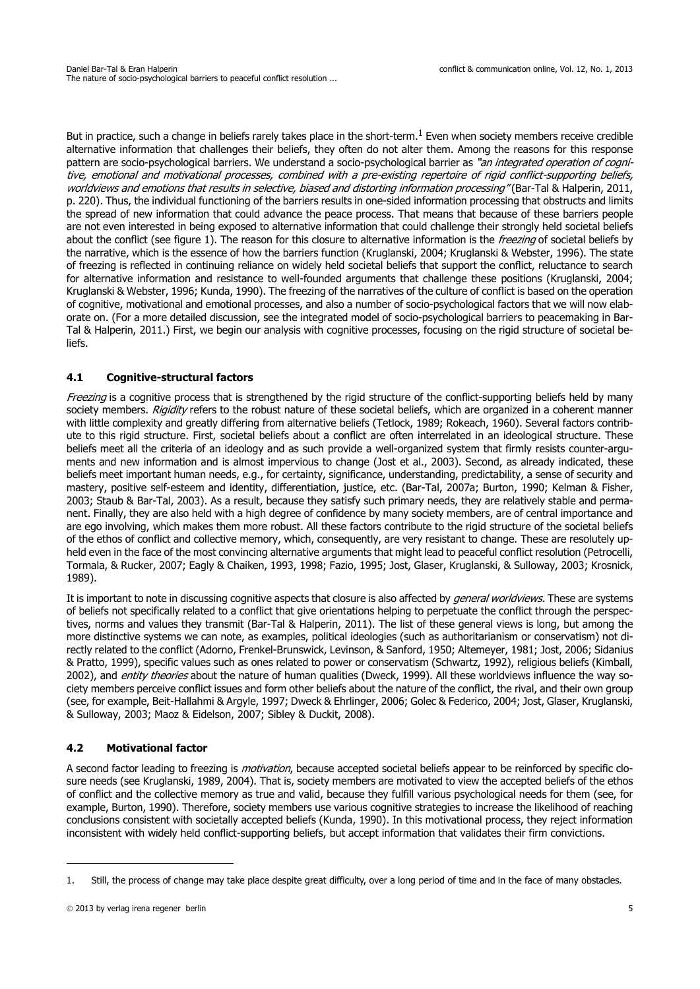But in practice, such a change in beliefs rarely takes place in the short-term.<sup>1</sup> Even when society members receive credible alternative information that challenges their beliefs, they often do not alter them. Among the reasons for this response pattern are socio-psychological barriers. We understand a socio-psychological barrier as "an integrated operation of cognitive, emotional and motivational processes, combined with a pre-existing repertoire of rigid conflict-supporting beliefs, worldviews and emotions that results in selective, biased and distorting information processing" (Bar-Tal & Halperin, 2011, p. 220). Thus, the individual functioning of the barriers results in one-sided information processing that obstructs and limits the spread of new information that could advance the peace process. That means that because of these barriers people are not even interested in being exposed to alternative information that could challenge their strongly held societal beliefs about the conflict (see figure 1). The reason for this closure to alternative information is the *freezing* of societal beliefs by the narrative, which is the essence of how the barriers function (Kruglanski, 2004; Kruglanski & Webster, 1996). The state of freezing is reflected in continuing reliance on widely held societal beliefs that support the conflict, reluctance to search for alternative information and resistance to well-founded arguments that challenge these positions (Kruglanski, 2004; Kruglanski & Webster, 1996; Kunda, 1990). The freezing of the narratives of the culture of conflict is based on the operation of cognitive, motivational and emotional processes, and also a number of socio-psychological factors that we will now elaborate on. (For a more detailed discussion, see the integrated model of socio-psychological barriers to peacemaking in Bar-Tal & Halperin, 2011.) First, we begin our analysis with cognitive processes, focusing on the rigid structure of societal beliefs.

### **4.1 Cognitive-structural factors**

Freezing is a cognitive process that is strengthened by the rigid structure of the conflict-supporting beliefs held by many society members. Rigidity refers to the robust nature of these societal beliefs, which are organized in a coherent manner with little complexity and greatly differing from alternative beliefs (Tetlock, 1989; Rokeach, 1960). Several factors contribute to this rigid structure. First, societal beliefs about a conflict are often interrelated in an ideological structure. These beliefs meet all the criteria of an ideology and as such provide a well-organized system that firmly resists counter-arguments and new information and is almost impervious to change (Jost et al., 2003). Second, as already indicated, these beliefs meet important human needs, e.g., for certainty, significance, understanding, predictability, a sense of security and mastery, positive self-esteem and identity, differentiation, justice, etc. (Bar-Tal, 2007a; Burton, 1990; Kelman & Fisher, 2003; Staub & Bar-Tal, 2003). As a result, because they satisfy such primary needs, they are relatively stable and permanent. Finally, they are also held with a high degree of confidence by many society members, are of central importance and are ego involving, which makes them more robust. All these factors contribute to the rigid structure of the societal beliefs of the ethos of conflict and collective memory, which, consequently, are very resistant to change. These are resolutely upheld even in the face of the most convincing alternative arguments that might lead to peaceful conflict resolution (Petrocelli, Tormala, & Rucker, 2007; Eagly & Chaiken, 1993, 1998; Fazio, 1995; Jost, Glaser, Kruglanski, & Sulloway, 2003; Krosnick, 1989).

It is important to note in discussing cognitive aspects that closure is also affected by *general worldviews*. These are systems of beliefs not specifically related to a conflict that give orientations helping to perpetuate the conflict through the perspectives, norms and values they transmit (Bar-Tal & Halperin, 2011). The list of these general views is long, but among the more distinctive systems we can note, as examples, political ideologies (such as authoritarianism or conservatism) not directly related to the conflict (Adorno, Frenkel-Brunswick, Levinson, & Sanford, 1950; Altemeyer, 1981; Jost, 2006; Sidanius & Pratto, 1999), specific values such as ones related to power or conservatism (Schwartz, 1992), religious beliefs (Kimball, 2002), and *entity theories* about the nature of human qualities (Dweck, 1999). All these worldviews influence the way society members perceive conflict issues and form other beliefs about the nature of the conflict, the rival, and their own group (see, for example, Beit-Hallahmi & Argyle, 1997; Dweck & Ehrlinger, 2006; Golec & Federico, 2004; Jost, Glaser, Kruglanski, & Sulloway, 2003; Maoz & Eidelson, 2007; Sibley & Duckit, 2008).

### **4.2 Motivational factor**

A second factor leading to freezing is *motivation*, because accepted societal beliefs appear to be reinforced by specific closure needs (see Kruglanski, 1989, 2004). That is, society members are motivated to view the accepted beliefs of the ethos of conflict and the collective memory as true and valid, because they fulfill various psychological needs for them (see, for example, Burton, 1990). Therefore, society members use various cognitive strategies to increase the likelihood of reaching conclusions consistent with societally accepted beliefs (Kunda, 1990). In this motivational process, they reject information inconsistent with widely held conflict-supporting beliefs, but accept information that validates their firm convictions.

<sup>1.</sup> Still, the process of change may take place despite great difficulty, over a long period of time and in the face of many obstacles.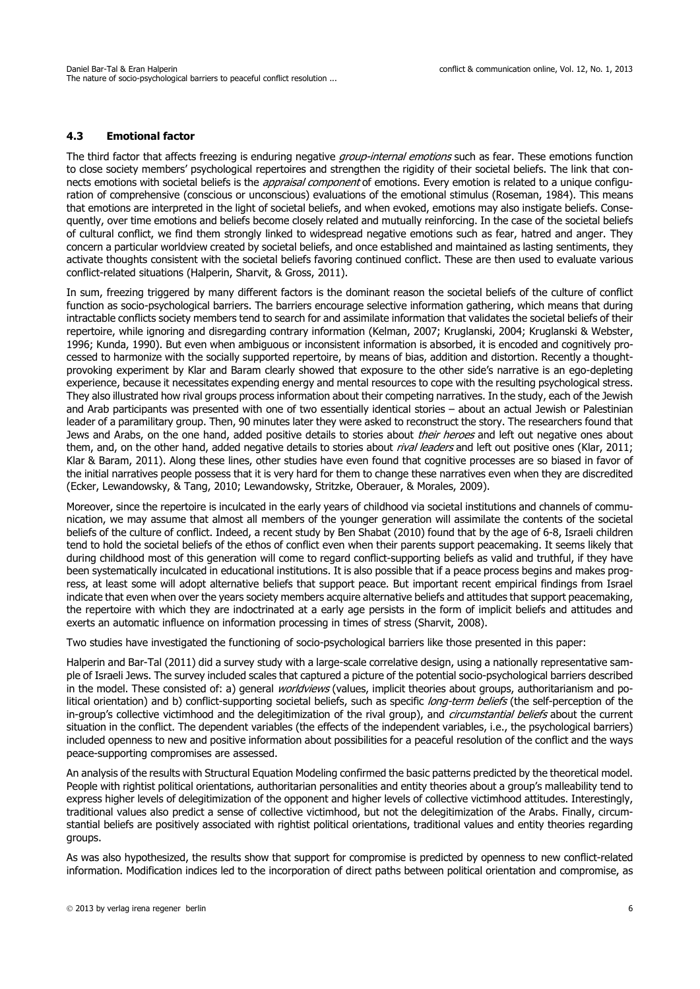### **4.3 Emotional factor**

The third factor that affects freezing is enduring negative *group-internal emotions* such as fear. These emotions function to close society members' psychological repertoires and strengthen the rigidity of their societal beliefs. The link that connects emotions with societal beliefs is the *appraisal component* of emotions. Every emotion is related to a unique configuration of comprehensive (conscious or unconscious) evaluations of the emotional stimulus (Roseman, 1984). This means that emotions are interpreted in the light of societal beliefs, and when evoked, emotions may also instigate beliefs. Consequently, over time emotions and beliefs become closely related and mutually reinforcing. In the case of the societal beliefs of cultural conflict, we find them strongly linked to widespread negative emotions such as fear, hatred and anger. They concern a particular worldview created by societal beliefs, and once established and maintained as lasting sentiments, they activate thoughts consistent with the societal beliefs favoring continued conflict. These are then used to evaluate various conflict-related situations (Halperin, Sharvit, & Gross, 2011).

In sum, freezing triggered by many different factors is the dominant reason the societal beliefs of the culture of conflict function as socio-psychological barriers. The barriers encourage selective information gathering, which means that during intractable conflicts society members tend to search for and assimilate information that validates the societal beliefs of their repertoire, while ignoring and disregarding contrary information (Kelman, 2007; Kruglanski, 2004; Kruglanski & Webster, 1996; Kunda, 1990). But even when ambiguous or inconsistent information is absorbed, it is encoded and cognitively processed to harmonize with the socially supported repertoire, by means of bias, addition and distortion. Recently a thoughtprovoking experiment by Klar and Baram clearly showed that exposure to the other side's narrative is an ego-depleting experience, because it necessitates expending energy and mental resources to cope with the resulting psychological stress. They also illustrated how rival groups process information about their competing narratives. In the study, each of the Jewish and Arab participants was presented with one of two essentially identical stories – about an actual Jewish or Palestinian leader of a paramilitary group. Then, 90 minutes later they were asked to reconstruct the story. The researchers found that Jews and Arabs, on the one hand, added positive details to stories about *their heroes* and left out negative ones about them, and, on the other hand, added negative details to stories about *rival leaders* and left out positive ones (Klar, 2011; Klar & Baram, 2011). Along these lines, other studies have even found that cognitive processes are so biased in favor of the initial narratives people possess that it is very hard for them to change these narratives even when they are discredited (Ecker, Lewandowsky, & Tang, 2010; Lewandowsky, Stritzke, Oberauer, & Morales, 2009).

Moreover, since the repertoire is inculcated in the early years of childhood via societal institutions and channels of communication, we may assume that almost all members of the younger generation will assimilate the contents of the societal beliefs of the culture of conflict. Indeed, a recent study by Ben Shabat (2010) found that by the age of 6-8, Israeli children tend to hold the societal beliefs of the ethos of conflict even when their parents support peacemaking. It seems likely that during childhood most of this generation will come to regard conflict-supporting beliefs as valid and truthful, if they have been systematically inculcated in educational institutions. It is also possible that if a peace process begins and makes progress, at least some will adopt alternative beliefs that support peace. But important recent empirical findings from Israel indicate that even when over the years society members acquire alternative beliefs and attitudes that support peacemaking, the repertoire with which they are indoctrinated at a early age persists in the form of implicit beliefs and attitudes and exerts an automatic influence on information processing in times of stress (Sharvit, 2008).

Two studies have investigated the functioning of socio-psychological barriers like those presented in this paper:

Halperin and Bar-Tal (2011) did a survey study with a large-scale correlative design, using a nationally representative sample of Israeli Jews. The survey included scales that captured a picture of the potential socio-psychological barriers described in the model. These consisted of: a) general *worldviews* (values, implicit theories about groups, authoritarianism and political orientation) and b) conflict-supporting societal beliefs, such as specific *long-term beliefs* (the self-perception of the in-group's collective victimhood and the delegitimization of the rival group), and circumstantial beliefs about the current situation in the conflict. The dependent variables (the effects of the independent variables, i.e., the psychological barriers) included openness to new and positive information about possibilities for a peaceful resolution of the conflict and the ways peace-supporting compromises are assessed.

An analysis of the results with Structural Equation Modeling confirmed the basic patterns predicted by the theoretical model. People with rightist political orientations, authoritarian personalities and entity theories about a group's malleability tend to express higher levels of delegitimization of the opponent and higher levels of collective victimhood attitudes. Interestingly, traditional values also predict a sense of collective victimhood, but not the delegitimization of the Arabs. Finally, circumstantial beliefs are positively associated with rightist political orientations, traditional values and entity theories regarding groups.

As was also hypothesized, the results show that support for compromise is predicted by openness to new conflict-related information. Modification indices led to the incorporation of direct paths between political orientation and compromise, as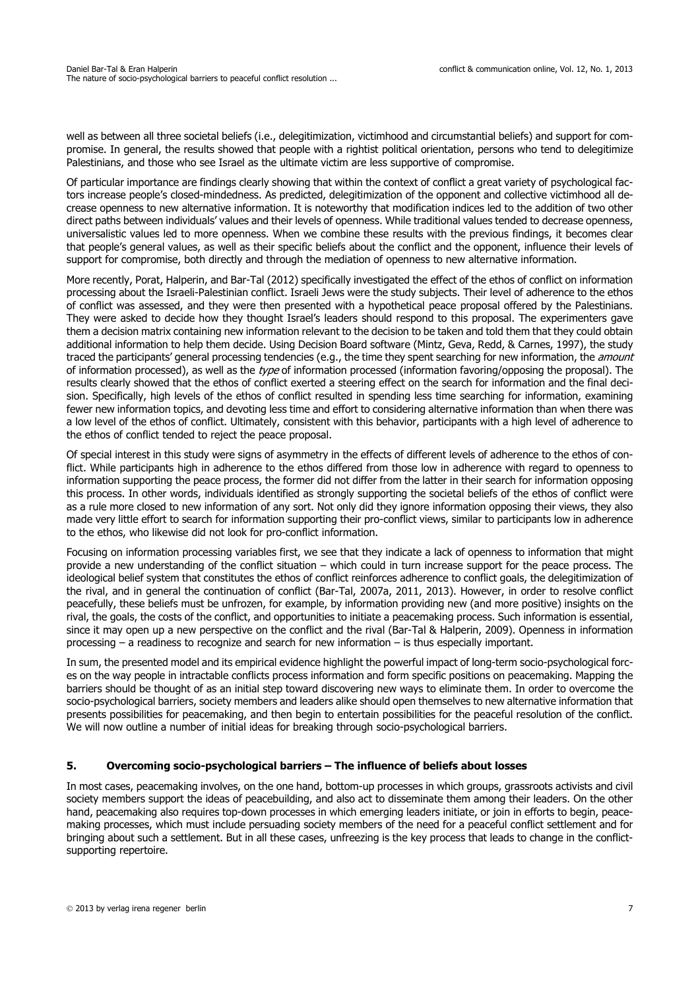well as between all three societal beliefs (i.e., delegitimization, victimhood and circumstantial beliefs) and support for compromise. In general, the results showed that people with a rightist political orientation, persons who tend to delegitimize Palestinians, and those who see Israel as the ultimate victim are less supportive of compromise.

Of particular importance are findings clearly showing that within the context of conflict a great variety of psychological factors increase people's closed-mindedness. As predicted, delegitimization of the opponent and collective victimhood all decrease openness to new alternative information. It is noteworthy that modification indices led to the addition of two other direct paths between individuals' values and their levels of openness. While traditional values tended to decrease openness, universalistic values led to more openness. When we combine these results with the previous findings, it becomes clear that people's general values, as well as their specific beliefs about the conflict and the opponent, influence their levels of support for compromise, both directly and through the mediation of openness to new alternative information.

More recently, Porat, Halperin, and Bar-Tal (2012) specifically investigated the effect of the ethos of conflict on information processing about the Israeli-Palestinian conflict. Israeli Jews were the study subjects. Their level of adherence to the ethos of conflict was assessed, and they were then presented with a hypothetical peace proposal offered by the Palestinians. They were asked to decide how they thought Israel's leaders should respond to this proposal. The experimenters gave them a decision matrix containing new information relevant to the decision to be taken and told them that they could obtain additional information to help them decide. Using Decision Board software (Mintz, Geva, Redd, & Carnes, 1997), the study traced the participants' general processing tendencies (e.g., the time they spent searching for new information, the amount of information processed), as well as the type of information processed (information favoring/opposing the proposal). The results clearly showed that the ethos of conflict exerted a steering effect on the search for information and the final decision. Specifically, high levels of the ethos of conflict resulted in spending less time searching for information, examining fewer new information topics, and devoting less time and effort to considering alternative information than when there was a low level of the ethos of conflict. Ultimately, consistent with this behavior, participants with a high level of adherence to the ethos of conflict tended to reject the peace proposal.

Of special interest in this study were signs of asymmetry in the effects of different levels of adherence to the ethos of conflict. While participants high in adherence to the ethos differed from those low in adherence with regard to openness to information supporting the peace process, the former did not differ from the latter in their search for information opposing this process. In other words, individuals identified as strongly supporting the societal beliefs of the ethos of conflict were as a rule more closed to new information of any sort. Not only did they ignore information opposing their views, they also made very little effort to search for information supporting their pro-conflict views, similar to participants low in adherence to the ethos, who likewise did not look for pro-conflict information.

Focusing on information processing variables first, we see that they indicate a lack of openness to information that might provide a new understanding of the conflict situation – which could in turn increase support for the peace process. The ideological belief system that constitutes the ethos of conflict reinforces adherence to conflict goals, the delegitimization of the rival, and in general the continuation of conflict (Bar-Tal, 2007a, 2011, 2013). However, in order to resolve conflict peacefully, these beliefs must be unfrozen, for example, by information providing new (and more positive) insights on the rival, the goals, the costs of the conflict, and opportunities to initiate a peacemaking process. Such information is essential, since it may open up a new perspective on the conflict and the rival (Bar-Tal & Halperin, 2009). Openness in information processing – a readiness to recognize and search for new information – is thus especially important.

In sum, the presented model and its empirical evidence highlight the powerful impact of long-term socio-psychological forces on the way people in intractable conflicts process information and form specific positions on peacemaking. Mapping the barriers should be thought of as an initial step toward discovering new ways to eliminate them. In order to overcome the socio-psychological barriers, society members and leaders alike should open themselves to new alternative information that presents possibilities for peacemaking, and then begin to entertain possibilities for the peaceful resolution of the conflict. We will now outline a number of initial ideas for breaking through socio-psychological barriers.

### **5. Overcoming socio-psychological barriers – The influence of beliefs about losses**

In most cases, peacemaking involves, on the one hand, bottom-up processes in which groups, grassroots activists and civil society members support the ideas of peacebuilding, and also act to disseminate them among their leaders. On the other hand, peacemaking also requires top-down processes in which emerging leaders initiate, or join in efforts to begin, peacemaking processes, which must include persuading society members of the need for a peaceful conflict settlement and for bringing about such a settlement. But in all these cases, unfreezing is the key process that leads to change in the conflictsupporting repertoire.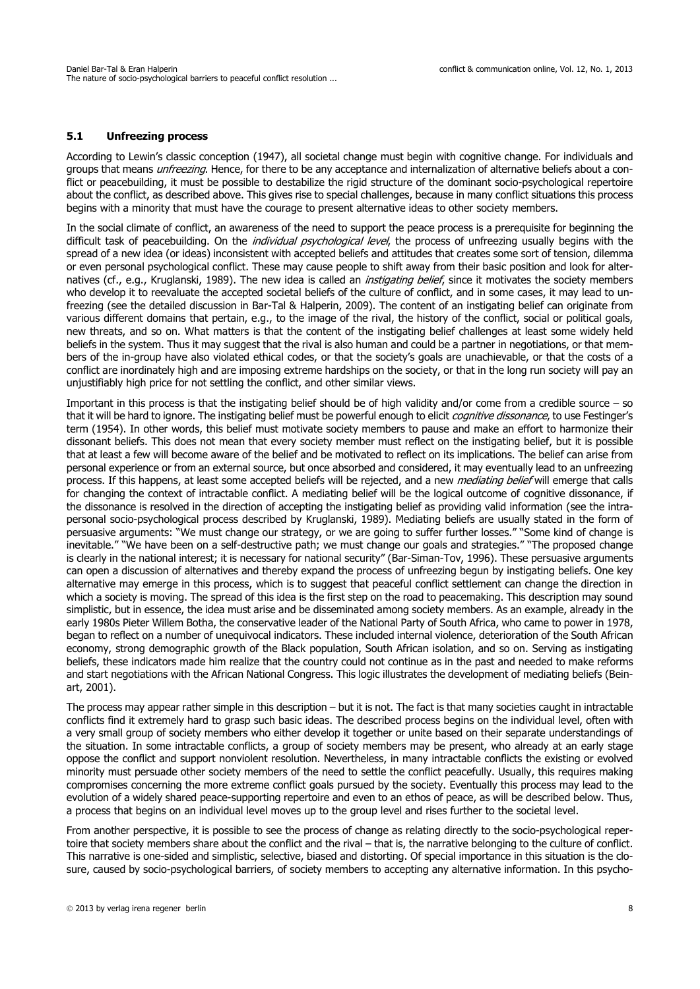### **5.1 Unfreezing process**

According to Lewin's classic conception (1947), all societal change must begin with cognitive change. For individuals and groups that means *unfreezing*. Hence, for there to be any acceptance and internalization of alternative beliefs about a conflict or peacebuilding, it must be possible to destabilize the rigid structure of the dominant socio-psychological repertoire about the conflict, as described above. This gives rise to special challenges, because in many conflict situations this process begins with a minority that must have the courage to present alternative ideas to other society members.

In the social climate of conflict, an awareness of the need to support the peace process is a prerequisite for beginning the difficult task of peacebuilding. On the *individual psychological level*, the process of unfreezing usually begins with the spread of a new idea (or ideas) inconsistent with accepted beliefs and attitudes that creates some sort of tension, dilemma or even personal psychological conflict. These may cause people to shift away from their basic position and look for alternatives (cf., e.g., Kruglanski, 1989). The new idea is called an *instigating belief*, since it motivates the society members who develop it to reevaluate the accepted societal beliefs of the culture of conflict, and in some cases, it may lead to unfreezing (see the detailed discussion in Bar-Tal & Halperin, 2009). The content of an instigating belief can originate from various different domains that pertain, e.g., to the image of the rival, the history of the conflict, social or political goals, new threats, and so on. What matters is that the content of the instigating belief challenges at least some widely held beliefs in the system. Thus it may suggest that the rival is also human and could be a partner in negotiations, or that members of the in-group have also violated ethical codes, or that the society's goals are unachievable, or that the costs of a conflict are inordinately high and are imposing extreme hardships on the society, or that in the long run society will pay an unjustifiably high price for not settling the conflict, and other similar views.

Important in this process is that the instigating belief should be of high validity and/or come from a credible source  $-$  so that it will be hard to ignore. The instigating belief must be powerful enough to elicit *cognitive dissonance*, to use Festinger's term (1954). In other words, this belief must motivate society members to pause and make an effort to harmonize their dissonant beliefs. This does not mean that every society member must reflect on the instigating belief, but it is possible that at least a few will become aware of the belief and be motivated to reflect on its implications. The belief can arise from personal experience or from an external source, but once absorbed and considered, it may eventually lead to an unfreezing process. If this happens, at least some accepted beliefs will be rejected, and a new *mediating belief* will emerge that calls for changing the context of intractable conflict. A mediating belief will be the logical outcome of cognitive dissonance, if the dissonance is resolved in the direction of accepting the instigating belief as providing valid information (see the intrapersonal socio-psychological process described by Kruglanski, 1989). Mediating beliefs are usually stated in the form of persuasive arguments: "We must change our strategy, or we are going to suffer further losses." "Some kind of change is inevitable." "We have been on a self-destructive path; we must change our goals and strategies." "The proposed change is clearly in the national interest; it is necessary for national security" (Bar-Siman-Tov, 1996). These persuasive arguments can open a discussion of alternatives and thereby expand the process of unfreezing begun by instigating beliefs. One key alternative may emerge in this process, which is to suggest that peaceful conflict settlement can change the direction in which a society is moving. The spread of this idea is the first step on the road to peacemaking. This description may sound simplistic, but in essence, the idea must arise and be disseminated among society members. As an example, already in the early 1980s Pieter Willem Botha, the conservative leader of the National Party of South Africa, who came to power in 1978, began to reflect on a number of unequivocal indicators. These included internal violence, deterioration of the South African economy, strong demographic growth of the Black population, South African isolation, and so on. Serving as instigating beliefs, these indicators made him realize that the country could not continue as in the past and needed to make reforms and start negotiations with the African National Congress. This logic illustrates the development of mediating beliefs (Beinart, 2001).

The process may appear rather simple in this description – but it is not. The fact is that many societies caught in intractable conflicts find it extremely hard to grasp such basic ideas. The described process begins on the individual level, often with a very small group of society members who either develop it together or unite based on their separate understandings of the situation. In some intractable conflicts, a group of society members may be present, who already at an early stage oppose the conflict and support nonviolent resolution. Nevertheless, in many intractable conflicts the existing or evolved minority must persuade other society members of the need to settle the conflict peacefully. Usually, this requires making compromises concerning the more extreme conflict goals pursued by the society. Eventually this process may lead to the evolution of a widely shared peace-supporting repertoire and even to an ethos of peace, as will be described below. Thus, a process that begins on an individual level moves up to the group level and rises further to the societal level.

From another perspective, it is possible to see the process of change as relating directly to the socio-psychological repertoire that society members share about the conflict and the rival – that is, the narrative belonging to the culture of conflict. This narrative is one-sided and simplistic, selective, biased and distorting. Of special importance in this situation is the closure, caused by socio-psychological barriers, of society members to accepting any alternative information. In this psycho-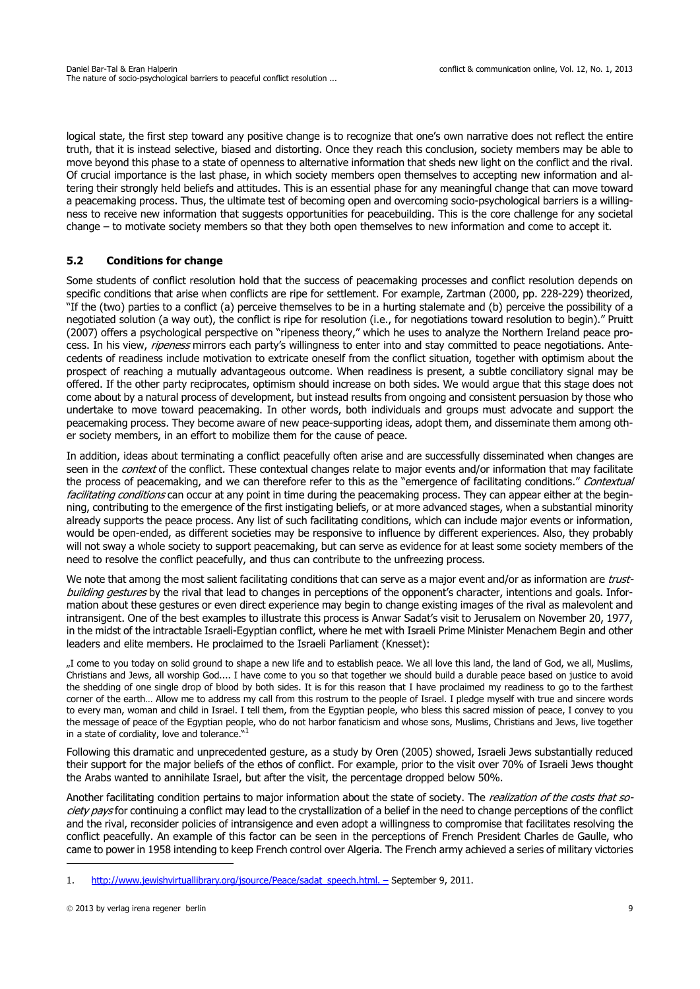logical state, the first step toward any positive change is to recognize that one's own narrative does not reflect the entire truth, that it is instead selective, biased and distorting. Once they reach this conclusion, society members may be able to move beyond this phase to a state of openness to alternative information that sheds new light on the conflict and the rival. Of crucial importance is the last phase, in which society members open themselves to accepting new information and altering their strongly held beliefs and attitudes. This is an essential phase for any meaningful change that can move toward a peacemaking process. Thus, the ultimate test of becoming open and overcoming socio-psychological barriers is a willingness to receive new information that suggests opportunities for peacebuilding. This is the core challenge for any societal change – to motivate society members so that they both open themselves to new information and come to accept it.

# **5.2 Conditions for change**

Some students of conflict resolution hold that the success of peacemaking processes and conflict resolution depends on specific conditions that arise when conflicts are ripe for settlement. For example, Zartman (2000, pp. 228-229) theorized, "If the (two) parties to a conflict (a) perceive themselves to be in a hurting stalemate and (b) perceive the possibility of a negotiated solution (a way out), the conflict is ripe for resolution (i.e., for negotiations toward resolution to begin)." Pruitt (2007) offers a psychological perspective on "ripeness theory," which he uses to analyze the Northern Ireland peace process. In his view, *ripeness* mirrors each party's willingness to enter into and stay committed to peace negotiations. Antecedents of readiness include motivation to extricate oneself from the conflict situation, together with optimism about the prospect of reaching a mutually advantageous outcome. When readiness is present, a subtle conciliatory signal may be offered. If the other party reciprocates, optimism should increase on both sides. We would argue that this stage does not come about by a natural process of development, but instead results from ongoing and consistent persuasion by those who undertake to move toward peacemaking. In other words, both individuals and groups must advocate and support the peacemaking process. They become aware of new peace-supporting ideas, adopt them, and disseminate them among other society members, in an effort to mobilize them for the cause of peace.

In addition, ideas about terminating a conflict peacefully often arise and are successfully disseminated when changes are seen in the *context* of the conflict. These contextual changes relate to major events and/or information that may facilitate the process of peacemaking, and we can therefore refer to this as the "emergence of facilitating conditions." Contextual facilitating conditions can occur at any point in time during the peacemaking process. They can appear either at the beginning, contributing to the emergence of the first instigating beliefs, or at more advanced stages, when a substantial minority already supports the peace process. Any list of such facilitating conditions, which can include major events or information, would be open-ended, as different societies may be responsive to influence by different experiences. Also, they probably will not sway a whole society to support peacemaking, but can serve as evidence for at least some society members of the need to resolve the conflict peacefully, and thus can contribute to the unfreezing process.

We note that among the most salient facilitating conditions that can serve as a major event and/or as information are trustbuilding gestures by the rival that lead to changes in perceptions of the opponent's character, intentions and goals. Information about these gestures or even direct experience may begin to change existing images of the rival as malevolent and intransigent. One of the best examples to illustrate this process is Anwar Sadat's visit to Jerusalem on November 20, 1977, in the midst of the intractable Israeli-Egyptian conflict, where he met with Israeli Prime Minister Menachem Begin and other leaders and elite members. He proclaimed to the Israeli Parliament (Knesset):

..I come to you today on solid ground to shape a new life and to establish peace. We all love this land, the land of God, we all, Muslims, Christians and Jews, all worship God.... I have come to you so that together we should build a durable peace based on justice to avoid the shedding of one single drop of blood by both sides. It is for this reason that I have proclaimed my readiness to go to the farthest corner of the earth… Allow me to address my call from this rostrum to the people of Israel. I pledge myself with true and sincere words to every man, woman and child in Israel. I tell them, from the Egyptian people, who bless this sacred mission of peace, I convey to you the message of peace of the Egyptian people, who do not harbor fanaticism and whose sons, Muslims, Christians and Jews, live together in a state of cordiality, love and tolerance."<sup>1</sup>

Following this dramatic and unprecedented gesture, as a study by Oren (2005) showed, Israeli Jews substantially reduced their support for the major beliefs of the ethos of conflict. For example, prior to the visit over 70% of Israeli Jews thought the Arabs wanted to annihilate Israel, but after the visit, the percentage dropped below 50%.

Another facilitating condition pertains to major information about the state of society. The realization of the costs that society pays for continuing a conflict may lead to the crystallization of a belief in the need to change perceptions of the conflict and the rival, reconsider policies of intransigence and even adopt a willingness to compromise that facilitates resolving the conflict peacefully. An example of this factor can be seen in the perceptions of French President Charles de Gaulle, who came to power in 1958 intending to keep French control over Algeria. The French army achieved a series of military victories

<sup>1.</sup> [http://www.jewishvirtuallibrary.org/jsource/Peace/sadat\\_speech.html. –](http://www.jewishvirtuallibrary.org/jsource/Peace/sadat_speech.html. ) September 9, 2011.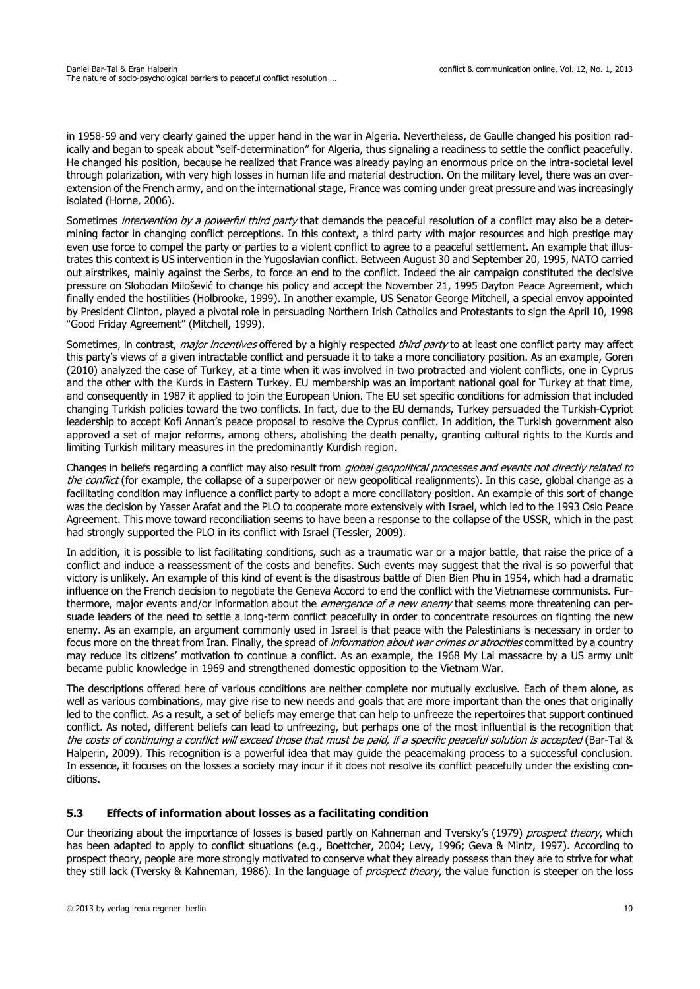in 1958-59 and very clearly gained the upper hand in the war in Algeria. Nevertheless, de Gaulle changed his position radically and began to speak about "self-determination" for Algeria, thus signaling a readiness to settle the conflict peacefully. He changed his position, because he realized that France was already paying an enormous price on the intra-societal level through polarization, with very high losses in human life and material destruction. On the military level, there was an overextension of the French army, and on the international stage, France was coming under great pressure and was increasingly isolated (Horne, 2006).

Sometimes *intervention by a powerful third party* [that demands the peaceful resolution of a conflict may also be a deter](http://en.wikipedia.org/wiki/Slobodan_Milo%C5%A1evi%C4%87)mining factor in changing conflict perceptions. In this context, a third party with major resources and high prestige may even use force to compel the party or parties to a violent conflict to agree to a peaceful settlement. An example that illus[trates this context is US intervention in the Yugoslavian conflict. Between August 30 and September 20, 1995, NATO carried](http://en.wikipedia.org/wiki/Slobodan_Milo%C5%A1evi%C4%87) out airstrikes, mainly against the Serbs, to force an end to the conflict. Indeed the air campaign constituted the decisive pressure on Slobodan Milošević [to change his policy and accept the November 21, 1995 D](http://en.wikipedia.org/wiki/Slobodan_Milo%C5%A1evi%C4%87)[ayton Peace Agreement, which](http://en.wikipedia.org/wiki/Dayton_Agreement) [finally ended the hostilities \(Holbrooke, 1999\). In another example, US Senator George Mitchell, a special envoy appointed](http://en.wikipedia.org/wiki/Dayton_Agreement) by President Clinton, played a pivotal role in persuading Northern Irish Catholics and Protestants to sign the April 10, 1998 "Good Friday Agreement" (Mitchell, 1999).

Sometimes, in contrast, *major incentives* offered by a highly respected *third party* to at least one conflict party may affect this party's views of a given intractable conflict and persuade it to take a more conciliatory position. As an example, Goren (2010) analyzed the case of Turkey, at a time when it was involved in two protracted and violent conflicts, one in Cyprus and the other with the Kurds in Eastern Turkey. EU membership was an important national goal for Turkey at that time, and consequently in 1987 it applied to join the European Union. The EU set specific conditions for admission that included changing Turkish policies toward the two conflicts. In fact, due to the EU demands, Turkey persuaded the Turkish-Cypriot leadership to accept Kofi Annan's peace proposal to resolve the Cyprus conflict. In addition, the Turkish government also approved a set of major reforms, among others, abolishing the death penalty, granting cultural rights to the Kurds and limiting Turkish military measures in the predominantly Kurdish region.

Changes in beliefs regarding a conflict may also result from *global geopolitical processes and events not directly related to* the conflict (for example, the collapse of a superpower or new geopolitical realignments). In this case, global change as a facilitating condition may influence a conflict party to adopt a more conciliatory position. An example of this sort of change was the decision by Yasser Arafat and the PLO to cooperate more extensively with Israel, which led to the 1993 Oslo Peace Agreement. This move toward reconciliation seems to have been a response to the collapse of the USSR, which in the past had strongly supported the PLO in its conflict with Israel (Tessler, 2009).

In addition, it is possible to list facilitating conditions, such as a traumatic war or a major battle, that raise the price of a conflict and induce a reassessment of the costs and benefits. Such events may suggest that the rival is so powerful that victory is unlikely. An example of this kind of event is the disastrous battle of Dien Bien Phu in 1954, which had a dramatic influence on the French decision to negotiate the Geneva Accord to end the conflict with the Vietnamese communists. Furthermore, major events and/or information about the *emergence of a new enemy* that seems more threatening can persuade leaders of the need to settle a long-term conflict peacefully in order to concentrate resources on fighting the new enemy. As an example, an argument commonly used in Israel is that peace with the Palestinians is necessary in order to focus more on the threat from Iran. Finally, the spread of *information about war crimes or atrocities* committed by a country may reduce its citizens' motivation to continue a conflict. As an example, the 1968 My Lai massacre by a US army unit became public knowledge in 1969 and strengthened domestic opposition to the Vietnam War.

The descriptions offered here of various conditions are neither complete nor mutually exclusive. Each of them alone, as well as various combinations, may give rise to new needs and goals that are more important than the ones that originally led to the conflict. As a result, a set of beliefs may emerge that can help to unfreeze the repertoires that support continued conflict. As noted, different beliefs can lead to unfreezing, but perhaps one of the most influential is the recognition that the costs of continuing a conflict will exceed those that must be paid, if a specific peaceful solution is accepted (Bar-Tal & Halperin, 2009). This recognition is a powerful idea that may guide the peacemaking process to a successful conclusion. In essence, it focuses on the losses a society may incur if it does not resolve its conflict peacefully under the existing conditions.

### **5.3 Effects of information about losses as a facilitating condition**

Our theorizing about the importance of losses is based partly on Kahneman and Tversky's (1979) prospect theory, which has been adapted to apply to conflict situations (e.g., Boettcher, 2004; Levy, 1996; Geva & Mintz, 1997). According to prospect theory, people are more strongly motivated to conserve what they already possess than they are to strive for what they still lack (Tversky & Kahneman, 1986). In the language of *prospect theory*, the value function is steeper on the loss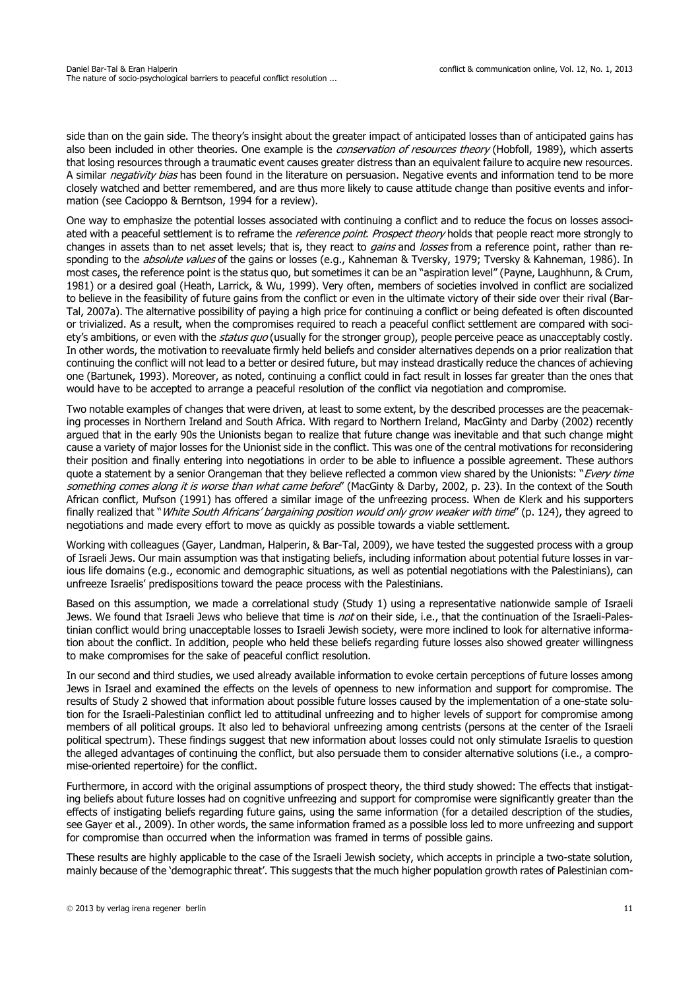side than on the gain side. The theory's insight about the greater impact of anticipated losses than of anticipated gains has also been included in other theories. One example is the *conservation of resources theory* (Hobfoll, 1989), which asserts that losing resources through a traumatic event causes greater distress than an equivalent failure to acquire new resources. A similar *negativity bias* has been found in the literature on persuasion. Negative events and information tend to be more closely watched and better remembered, and are thus more likely to cause attitude change than positive events and information (see Cacioppo & Berntson, 1994 for a review).

One way to emphasize the potential losses associated with continuing a conflict and to reduce the focus on losses associated with a peaceful settlement is to reframe the *reference point. Prospect theory* holds that people react more strongly to changes in assets than to net asset levels; that is, they react to *gains* and losses from a reference point, rather than responding to the *absolute values* of the gains or losses (e.g., Kahneman & Tversky, 1979; Tversky & Kahneman, 1986). In most cases, the reference point is the status quo, but sometimes it can be an "aspiration level" (Payne, Laughhunn, & Crum, 1981) or a desired goal (Heath, Larrick, & Wu, 1999). Very often, members of societies involved in conflict are socialized to believe in the feasibility of future gains from the conflict or even in the ultimate victory of their side over their rival (Bar-Tal, 2007a). The alternative possibility of paying a high price for continuing a conflict or being defeated is often discounted or trivialized. As a result, when the compromises required to reach a peaceful conflict settlement are compared with society's ambitions, or even with the *status quo* (usually for the stronger group), people perceive peace as unacceptably costly. In other words, the motivation to reevaluate firmly held beliefs and consider alternatives depends on a prior realization that continuing the conflict will not lead to a better or desired future, but may instead drastically reduce the chances of achieving one (Bartunek, 1993). Moreover, as noted, continuing a conflict could in fact result in losses far greater than the ones that would have to be accepted to arrange a peaceful resolution of the conflict via negotiation and compromise.

Two notable examples of changes that were driven, at least to some extent, by the described processes are the peacemaking processes in Northern Ireland and South Africa. With regard to Northern Ireland, MacGinty and Darby (2002) recently argued that in the early 90s the Unionists began to realize that future change was inevitable and that such change might cause a variety of major losses for the Unionist side in the conflict. This was one of the central motivations for reconsidering their position and finally entering into negotiations in order to be able to influence a possible agreement. These authors quote a statement by a senior Orangeman that they believe reflected a common view shared by the Unionists: "Every time something comes along it is worse than what came before" (MacGinty & Darby, 2002, p. 23). In the context of the South African conflict, Mufson (1991) has offered a similar image of the unfreezing process. When de Klerk and his supporters finally realized that "White South Africans' bargaining position would only grow weaker with time" (p. 124), they agreed to negotiations and made every effort to move as quickly as possible towards a viable settlement.

Working with colleagues (Gayer, Landman, Halperin, & Bar-Tal, 2009), we have tested the suggested process with a group of Israeli Jews. Our main assumption was that instigating beliefs, including information about potential future losses in various life domains (e.g., economic and demographic situations, as well as potential negotiations with the Palestinians), can unfreeze Israelis' predispositions toward the peace process with the Palestinians.

Based on this assumption, we made a correlational study (Study 1) using a representative nationwide sample of Israeli Jews. We found that Israeli Jews who believe that time is not on their side, i.e., that the continuation of the Israeli-Palestinian conflict would bring unacceptable losses to Israeli Jewish society, were more inclined to look for alternative information about the conflict. In addition, people who held these beliefs regarding future losses also showed greater willingness to make compromises for the sake of peaceful conflict resolution.

In our second and third studies, we used already available information to evoke certain perceptions of future losses among Jews in Israel and examined the effects on the levels of openness to new information and support for compromise. The results of Study 2 showed that information about possible future losses caused by the implementation of a one-state solution for the Israeli-Palestinian conflict led to attitudinal unfreezing and to higher levels of support for compromise among members of all political groups. It also led to behavioral unfreezing among centrists (persons at the center of the Israeli political spectrum). These findings suggest that new information about losses could not only stimulate Israelis to question the alleged advantages of continuing the conflict, but also persuade them to consider alternative solutions (i.e., a compromise-oriented repertoire) for the conflict.

Furthermore, in accord with the original assumptions of prospect theory, the third study showed: The effects that instigating beliefs about future losses had on cognitive unfreezing and support for compromise were significantly greater than the effects of instigating beliefs regarding future gains, using the same information (for a detailed description of the studies, see Gayer et al., 2009). In other words, the same information framed as a possible loss led to more unfreezing and support for compromise than occurred when the information was framed in terms of possible gains.

These results are highly applicable to the case of the Israeli Jewish society, which accepts in principle a two-state solution, mainly because of the 'demographic threat'. This suggests that the much higher population growth rates of Palestinian com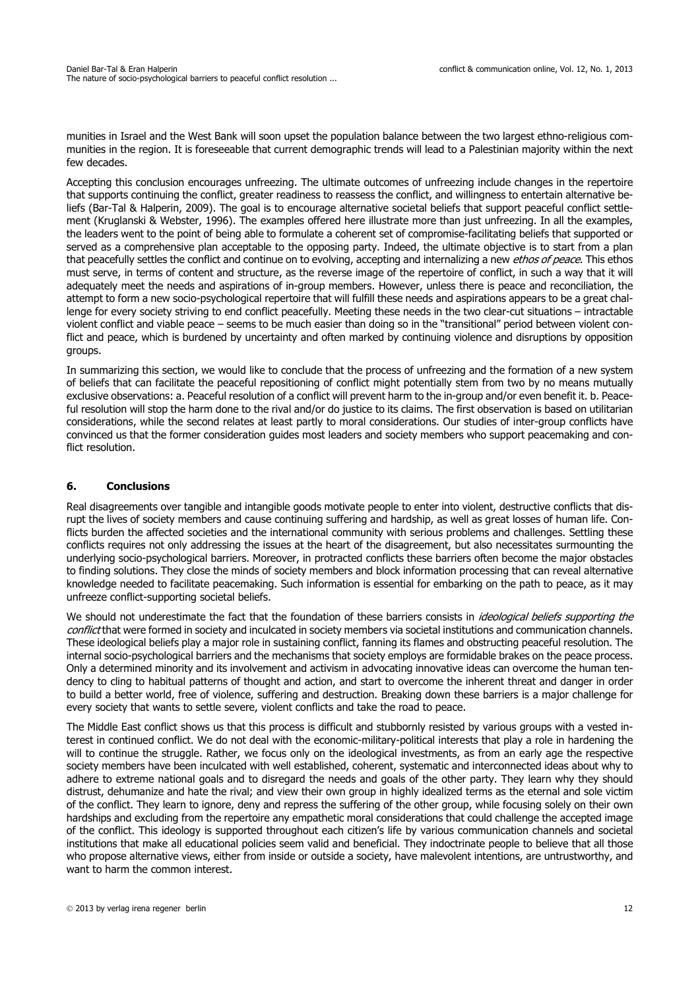munities in Israel and the West Bank will soon upset the population balance between the two largest ethno-religious communities in the region. It is foreseeable that current demographic trends will lead to a Palestinian majority within the next few decades.

Accepting this conclusion encourages unfreezing. The ultimate outcomes of unfreezing include changes in the repertoire that supports continuing the conflict, greater readiness to reassess the conflict, and willingness to entertain alternative beliefs (Bar-Tal & Halperin, 2009). The goal is to encourage alternative societal beliefs that support peaceful conflict settlement (Kruglanski & Webster, 1996). The examples offered here illustrate more than just unfreezing. In all the examples, the leaders went to the point of being able to formulate a coherent set of compromise-facilitating beliefs that supported or served as a comprehensive plan acceptable to the opposing party. Indeed, the ultimate objective is to start from a plan that peacefully settles the conflict and continue on to evolving, accepting and internalizing a new *ethos of peace*. This ethos must serve, in terms of content and structure, as the reverse image of the repertoire of conflict, in such a way that it will adequately meet the needs and aspirations of in-group members. However, unless there is peace and reconciliation, the attempt to form a new socio-psychological repertoire that will fulfill these needs and aspirations appears to be a great challenge for every society striving to end conflict peacefully. Meeting these needs in the two clear-cut situations – intractable violent conflict and viable peace – seems to be much easier than doing so in the "transitional" period between violent conflict and peace, which is burdened by uncertainty and often marked by continuing violence and disruptions by opposition groups.

In summarizing this section, we would like to conclude that the process of unfreezing and the formation of a new system of beliefs that can facilitate the peaceful repositioning of conflict might potentially stem from two by no means mutually exclusive observations: a. Peaceful resolution of a conflict will prevent harm to the in-group and/or even benefit it. b. Peaceful resolution will stop the harm done to the rival and/or do justice to its claims. The first observation is based on utilitarian considerations, while the second relates at least partly to moral considerations. Our studies of inter-group conflicts have convinced us that the former consideration guides most leaders and society members who support peacemaking and conflict resolution.

## **6. Conclusions**

Real disagreements over tangible and intangible goods motivate people to enter into violent, destructive conflicts that disrupt the lives of society members and cause continuing suffering and hardship, as well as great losses of human life. Conflicts burden the affected societies and the international community with serious problems and challenges. Settling these conflicts requires not only addressing the issues at the heart of the disagreement, but also necessitates surmounting the underlying socio-psychological barriers. Moreover, in protracted conflicts these barriers often become the major obstacles to finding solutions. They close the minds of society members and block information processing that can reveal alternative knowledge needed to facilitate peacemaking. Such information is essential for embarking on the path to peace, as it may unfreeze conflict-supporting societal beliefs.

We should not underestimate the fact that the foundation of these barriers consists in *ideological beliefs supporting the* conflict that were formed in society and inculcated in society members via societal institutions and communication channels. These ideological beliefs play a major role in sustaining conflict, fanning its flames and obstructing peaceful resolution. The internal socio-psychological barriers and the mechanisms that society employs are formidable brakes on the peace process. Only a determined minority and its involvement and activism in advocating innovative ideas can overcome the human tendency to cling to habitual patterns of thought and action, and start to overcome the inherent threat and danger in order to build a better world, free of violence, suffering and destruction. Breaking down these barriers is a major challenge for every society that wants to settle severe, violent conflicts and take the road to peace.

The Middle East conflict shows us that this process is difficult and stubbornly resisted by various groups with a vested interest in continued conflict. We do not deal with the economic-military-political interests that play a role in hardening the will to continue the struggle. Rather, we focus only on the ideological investments, as from an early age the respective society members have been inculcated with well established, coherent, systematic and interconnected ideas about why to adhere to extreme national goals and to disregard the needs and goals of the other party. They learn why they should distrust, dehumanize and hate the rival; and view their own group in highly idealized terms as the eternal and sole victim of the conflict. They learn to ignore, deny and repress the suffering of the other group, while focusing solely on their own hardships and excluding from the repertoire any empathetic moral considerations that could challenge the accepted image of the conflict. This ideology is supported throughout each citizen's life by various communication channels and societal institutions that make all educational policies seem valid and beneficial. They indoctrinate people to believe that all those who propose alternative views, either from inside or outside a society, have malevolent intentions, are untrustworthy, and want to harm the common interest.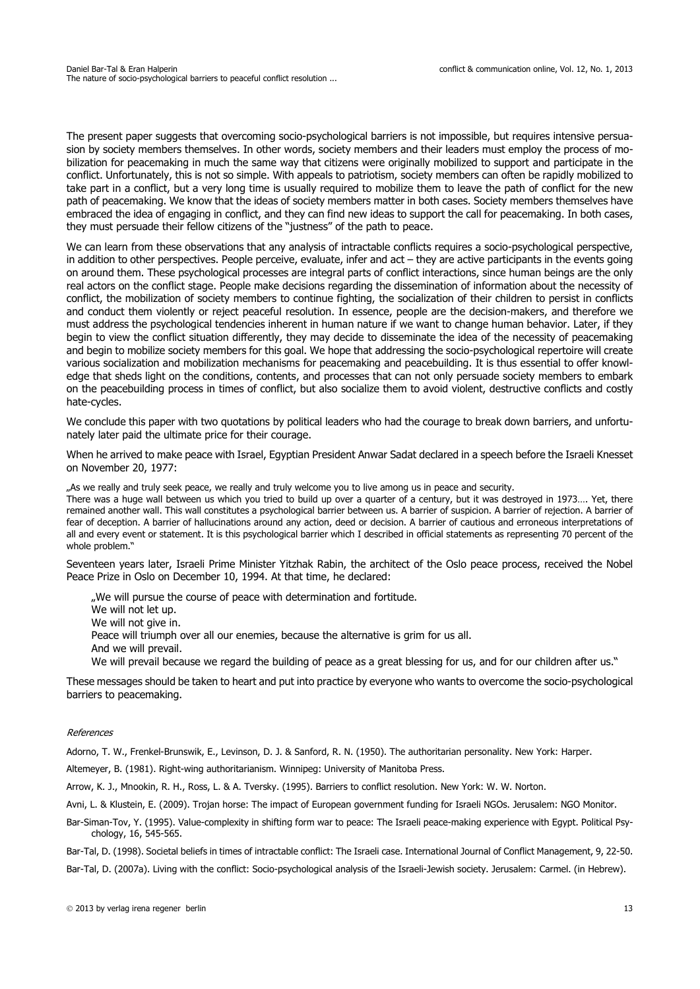The present paper suggests that overcoming socio-psychological barriers is not impossible, but requires intensive persuasion by society members themselves. In other words, society members and their leaders must employ the process of mobilization for peacemaking in much the same way that citizens were originally mobilized to support and participate in the conflict. Unfortunately, this is not so simple. With appeals to patriotism, society members can often be rapidly mobilized to take part in a conflict, but a very long time is usually required to mobilize them to leave the path of conflict for the new path of peacemaking. We know that the ideas of society members matter in both cases. Society members themselves have embraced the idea of engaging in conflict, and they can find new ideas to support the call for peacemaking. In both cases, they must persuade their fellow citizens of the "justness" of the path to peace.

We can learn from these observations that any analysis of intractable conflicts requires a socio-psychological perspective, in addition to other perspectives. People perceive, evaluate, infer and act – they are active participants in the events going on around them. These psychological processes are integral parts of conflict interactions, since human beings are the only real actors on the conflict stage. People make decisions regarding the dissemination of information about the necessity of conflict, the mobilization of society members to continue fighting, the socialization of their children to persist in conflicts and conduct them violently or reject peaceful resolution. In essence, people are the decision-makers, and therefore we must address the psychological tendencies inherent in human nature if we want to change human behavior. Later, if they begin to view the conflict situation differently, they may decide to disseminate the idea of the necessity of peacemaking and begin to mobilize society members for this goal. We hope that addressing the socio-psychological repertoire will create various socialization and mobilization mechanisms for peacemaking and peacebuilding. It is thus essential to offer knowledge that sheds light on the conditions, contents, and processes that can not only persuade society members to embark on the peacebuilding process in times of conflict, but also socialize them to avoid violent, destructive conflicts and costly hate-cycles.

We conclude this paper with two quotations by political leaders who had the courage to break down barriers, and unfortunately later paid the ultimate price for their courage.

When he arrived to make peace with Israel, Egyptian President Anwar Sadat declared in a speech before the Israeli Knesset on November 20, 1977:

"As we really and truly seek peace, we really and truly welcome you to live among us in peace and security.

There was a huge wall between us which you tried to build up over a quarter of a century, but it was destroyed in 1973…. Yet, there remained another wall. This wall constitutes a psychological barrier between us. A barrier of suspicion. A barrier of rejection. A barrier of fear of deception. A barrier of hallucinations around any action, deed or decision. A barrier of cautious and erroneous interpretations of all and every event or statement. It is this psychological barrier which I described in official statements as representing 70 percent of the whole problem."

Seventeen years later, Israeli Prime Minister Yitzhak Rabin, the architect of the Oslo peace process, received the Nobel Peace Prize in Oslo on December 10, 1994. At that time, he declared:

"We will pursue the course of peace with determination and fortitude. We will not let up. We will not give in. Peace will triumph over all our enemies, because the alternative is grim for us all. And we will prevail.

We will prevail because we regard the building of peace as a great blessing for us, and for our children after us."

These messages should be taken to heart and put into practice by everyone who wants to overcome the socio-psychological barriers to peacemaking.

#### References

Adorno, T. W., Frenkel-Brunswik, E., Levinson, D. J. & Sanford, R. N. (1950). The authoritarian personality. New York: Harper.

Altemeyer, B. (1981). Right-wing authoritarianism. Winnipeg: University of Manitoba Press.

Arrow, K. J., Mnookin, R. H., Ross, L. & A. Tversky. (1995). Barriers to conflict resolution. New York: W. W. Norton.

Avni, L. & Klustein, E. (2009). Trojan horse: The impact of European government funding for Israeli NGOs. Jerusalem: NGO Monitor.

Bar-Siman-Tov, Y. (1995). Value-complexity in shifting form war to peace: The Israeli peace-making experience with Egypt. Political Psychology, 16, 545-565.

Bar-Tal, D. (1998). Societal beliefs in times of intractable conflict: The Israeli case. International Journal of Conflict Management, 9, 22-50.

Bar-Tal, D. (2007a). Living with the conflict: Socio-psychological analysis of the Israeli-Jewish society. Jerusalem: Carmel. (in Hebrew).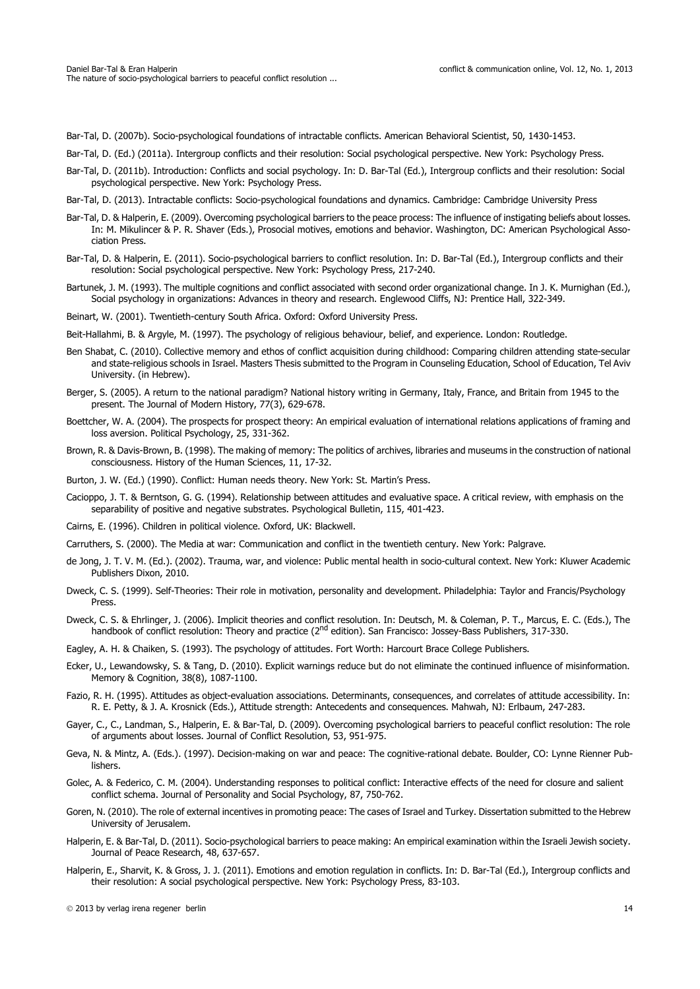Bar-Tal, D. (2007b). Socio-psychological foundations of intractable conflicts. American Behavioral Scientist, 50, 1430-1453.

- Bar-Tal, D. (Ed.) (2011a). Intergroup conflicts and their resolution: Social psychological perspective. New York: Psychology Press.
- Bar-Tal, D. (2011b). Introduction: Conflicts and social psychology. In: D. Bar-Tal (Ed.), Intergroup conflicts and their resolution: Social psychological perspective. New York: Psychology Press.
- Bar-Tal, D. (2013). Intractable conflicts: Socio-psychological foundations and dynamics. Cambridge: Cambridge University Press
- Bar-Tal, D. & Halperin, E. (2009). Overcoming psychological barriers to the peace process: The influence of instigating beliefs about losses. In: M. Mikulincer & P. R. Shaver (Eds.), Prosocial motives, emotions and behavior. Washington, DC: American Psychological Association Press.
- Bar-Tal, D. & Halperin, E. (2011). Socio-psychological barriers to conflict resolution. In: D. Bar-Tal (Ed.), Intergroup conflicts and their resolution: Social psychological perspective. New York: Psychology Press, 217-240.
- Bartunek, J. M. (1993). The multiple cognitions and conflict associated with second order organizational change. In J. K. Murnighan (Ed.), Social psychology in organizations: Advances in theory and research. Englewood Cliffs, NJ: Prentice Hall, 322-349.
- Beinart, W. (2001). Twentieth-century South Africa. Oxford: Oxford University Press.
- Beit-Hallahmi, B. & Argyle, M. (1997). The psychology of religious behaviour, belief, and experience. London: Routledge.
- Ben Shabat, C. (2010). Collective memory and ethos of conflict acquisition during childhood: Comparing children attending state-secular and state-religious schools in Israel. Masters Thesis submitted to the Program in Counseling Education, School of Education, Tel Aviv University. (in Hebrew).
- Berger, S. (2005). A return to the national paradigm? National history writing in Germany, Italy, France, and Britain from 1945 to the present. The Journal of Modern History, 77(3), 629-678.
- Boettcher, W. A. (2004). The prospects for prospect theory: An empirical evaluation of international relations applications of framing and loss aversion. Political Psychology, 25, 331-362.
- Brown, R. & Davis-Brown, B. (1998). The making of memory: The politics of archives, libraries and museums in the construction of national consciousness. History of the Human Sciences, 11, 17-32.
- Burton, J. W. (Ed.) (1990). Conflict: Human needs theory. New York: St. Martin's Press.
- Cacioppo, J. T. & Berntson, G. G. (1994). Relationship between attitudes and evaluative space. A critical review, with emphasis on the separability of positive and negative substrates. Psychological Bulletin, 115, 401-423.
- Cairns, E. (1996). Children in political violence. Oxford, UK: Blackwell.
- Carruthers, S. (2000). The Media at war: Communication and conflict in the twentieth century. New York: Palgrave.
- de Jong, J. T. V. M. (Ed.). (2002). Trauma, war, and violence: Public mental health in socio-cultural context. New York: Kluwer Academic Publishers Dixon, 2010.
- Dweck, C. S. (1999). Self-Theories: Their role in motivation, personality and development. Philadelphia: Taylor and Francis/Psychology Press.
- Dweck, C. S. & Ehrlinger, J. (2006). Implicit theories and conflict resolution. In: Deutsch, M. & Coleman, P. T., Marcus, E. C. (Eds.), The handbook of conflict resolution: Theory and practice  $(2^{nd}$  edition). San Francisco: Jossey-Bass Publishers, 317-330.
- Eagley, A. H. & Chaiken, S. (1993). The psychology of attitudes. Fort Worth: Harcourt Brace College Publishers.
- Ecker, U., Lewandowsky, S. & Tang, D. (2010). Explicit warnings reduce but do not eliminate the continued influence of misinformation. Memory & Cognition, 38(8), 1087-1100.
- Fazio, R. H. (1995). Attitudes as object-evaluation associations. Determinants, consequences, and correlates of attitude accessibility. In: R. E. Petty, & J. A. Krosnick (Eds.), Attitude strength: Antecedents and consequences. Mahwah, NJ: Erlbaum, 247-283.
- Gayer, C., C., Landman, S., Halperin, E. & Bar-Tal, D. (2009). Overcoming psychological barriers to peaceful conflict resolution: The role of arguments about losses. Journal of Conflict Resolution, 53, 951-975.
- Geva, N. & Mintz, A. (Eds.). (1997). Decision-making on war and peace: The cognitive-rational debate. Boulder, CO: Lynne Rienner Publishers.
- Golec, A. & Federico, C. M. (2004). Understanding responses to political conflict: Interactive effects of the need for closure and salient conflict schema. Journal of Personality and Social Psychology, 87, 750-762.
- Goren, N. (2010). The role of external incentives in promoting peace: The cases of Israel and Turkey. Dissertation submitted to the Hebrew University of Jerusalem.
- Halperin, E. & Bar-Tal, D. (2011). Socio-psychological barriers to peace making: An empirical examination within the Israeli Jewish society. Journal of Peace Research, 48, 637-657.
- Halperin, E., Sharvit, K. & Gross, J. J. (2011). Emotions and emotion regulation in conflicts. In: D. Bar-Tal (Ed.), Intergroup conflicts and their resolution: A social psychological perspective. New York: Psychology Press, 83-103.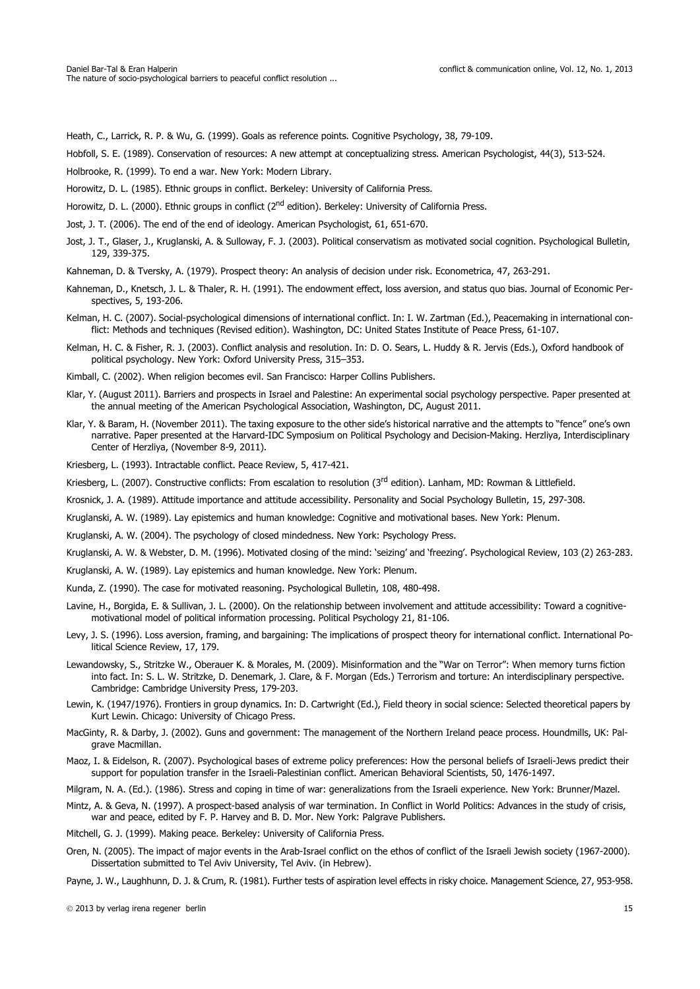Heath, C., Larrick, R. P. & Wu, G. (1999). Goals as reference points. Cognitive Psychology, 38, 79-109.

Hobfoll, S. E. (1989). Conservation of resources: A new attempt at conceptualizing stress. American Psychologist, 44(3), 513-524.

Holbrooke, R. (1999). To end a war. New York: Modern Library.

Horowitz, D. L. (1985). Ethnic groups in conflict. Berkeley: University of California Press.

Horowitz, D. L. (2000). Ethnic groups in conflict (2<sup>nd</sup> edition). Berkeley: University of California Press.

Jost, J. T. (2006). The end of the end of ideology. American Psychologist, 61, 651-670.

Jost, J. T., Glaser, J., Kruglanski, A. & Sulloway, F. J. (2003). Political conservatism as motivated social cognition. Psychological Bulletin, 129, 339-375.

Kahneman, D. & Tversky, A. (1979). Prospect theory: An analysis of decision under risk. Econometrica, 47, 263-291.

- Kahneman, D., Knetsch, J. L. & Thaler, R. H. (1991). The endowment effect, loss aversion, and status quo bias. Journal of Economic Perspectives, 5, 193-206.
- Kelman, H. C. (2007). Social-psychological dimensions of international conflict. In: I. W. Zartman (Ed.), Peacemaking in international conflict: Methods and techniques (Revised edition). Washington, DC: United States Institute of Peace Press, 61-107.
- Kelman, H. C. & Fisher, R. J. (2003). Conflict analysis and resolution. In: D. O. Sears, L. Huddy & R. Jervis (Eds.), Oxford handbook of political psychology. New York: Oxford University Press, 315–353.

Kimball, C. (2002). When religion becomes evil. San Francisco: Harper Collins Publishers.

- Klar, Y. (August 2011). Barriers and prospects in Israel and Palestine: An experimental social psychology perspective. Paper presented at the annual meeting of the American Psychological Association, Washington, DC, August 2011.
- Klar, Y. & Baram, H. (November 2011). The taxing exposure to the other side's historical narrative and the attempts to "fence" one's own narrative. Paper presented at the Harvard-IDC Symposium on Political Psychology and Decision-Making. Herzliya, Interdisciplinary Center of Herzliya, (November 8-9, 2011).
- Kriesberg, L. (1993). Intractable conflict. Peace Review, 5, 417-421.

Kriesberg, L. (2007). Constructive conflicts: From escalation to resolution (3<sup>rd</sup> edition). Lanham, MD: Rowman & Littlefield.

Krosnick, J. A. (1989). Attitude importance and attitude accessibility. Personality and Social Psychology Bulletin, 15, 297-308.

Kruglanski, A. W. (1989). Lay epistemics and human knowledge: Cognitive and motivational bases. New York: Plenum.

Kruglanski, A. W. (2004). The psychology of closed mindedness. New York: Psychology Press.

Kruglanski, A. W. & Webster, D. M. (1996). Motivated closing of the mind: 'seizing' and 'freezing'. Psychological Review, 103 (2) 263-283.

- Kruglanski, A. W. (1989). Lay epistemics and human knowledge. New York: Plenum.
- Kunda, Z. (1990). The case for motivated reasoning. Psychological Bulletin, 108, 480-498.
- Lavine, H., Borgida, E. & Sullivan, J. L. (2000). On the relationship between involvement and attitude accessibility: Toward a cognitivemotivational model of political information processing. Political Psychology 21, 81-106.
- Levy, J. S. (1996). Loss aversion, framing, and bargaining: The implications of prospect theory for international conflict. International Political Science Review, 17, 179.
- Lewandowsky, S., Stritzke W., Oberauer K. & Morales, M. (2009). Misinformation and the "War on Terror": When memory turns fiction into fact. In: S. L. W. Stritzke, D. Denemark, J. Clare, & F. Morgan (Eds.) Terrorism and torture: An interdisciplinary perspective. Cambridge: Cambridge University Press, 179-203.
- Lewin, K. (1947/1976). Frontiers in group dynamics. In: D. Cartwright (Ed.), Field theory in social science: Selected theoretical papers by Kurt Lewin. Chicago: University of Chicago Press.
- MacGinty, R. & Darby, J. (2002). Guns and government: The management of the Northern Ireland peace process. Houndmills, UK: Palgrave Macmillan.
- Maoz, I. & Eidelson, R. (2007). Psychological bases of extreme policy preferences: How the personal beliefs of Israeli-Jews predict their support for population transfer in the Israeli-Palestinian conflict. American Behavioral Scientists, 50, 1476-1497.
- Milgram, N. A. (Ed.). (1986). Stress and coping in time of war: generalizations from the Israeli experience. New York: Brunner/Mazel.
- Mintz, A. & Geva, N. (1997). A prospect-based analysis of war termination. In Conflict in World Politics: Advances in the study of crisis, war and peace, edited by F. P. Harvey and B. D. Mor. New York: Palgrave Publishers.
- Mitchell, G. J. (1999). Making peace. Berkeley: University of California Press.
- Oren, N. (2005). The impact of major events in the Arab-Israel conflict on the ethos of conflict of the Israeli Jewish society (1967-2000). Dissertation submitted to Tel Aviv University, Tel Aviv. (in Hebrew).

Payne, J. W., Laughhunn, D. J. & Crum, R. (1981). Further tests of aspiration level effects in risky choice. Management Science, 27, 953-958.

2013 by verlag irena regener berlin 15